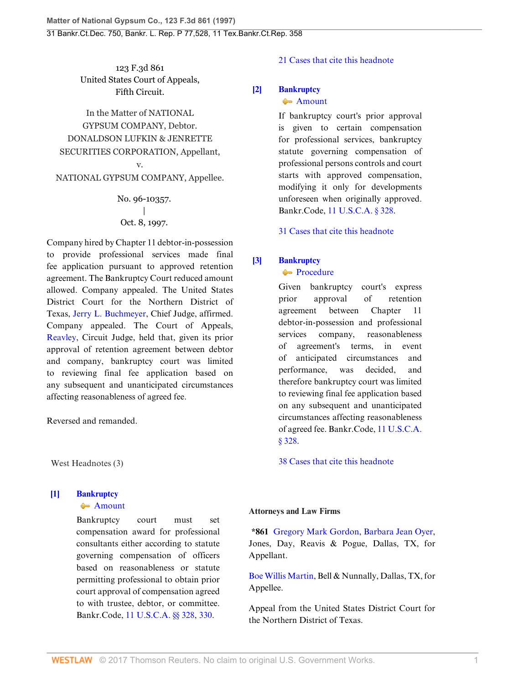123 F.3d 861 United States Court of Appeals, Fifth Circuit.

In the Matter of NATIONAL GYPSUM COMPANY, Debtor. DONALDSON LUFKIN & JENRETTE SECURITIES CORPORATION, Appellant, v.

NATIONAL GYPSUM COMPANY, Appellee.

No. 96-10357.  $\overline{ }$ Oct. 8, 1997.

Company hired by Chapter 11 debtor-in-possession to provide professional services made final fee application pursuant to approved retention agreement. The Bankruptcy Court reduced amount allowed. Company appealed. The United States District Court for the Northern District of Texas, [Jerry L. Buchmeyer,](http://www.westlaw.com/Link/Document/FullText?findType=h&pubNum=176284&cite=0248669101&originatingDoc=I786224bb942c11d9a707f4371c9c34f0&refType=RQ&originationContext=document&vr=3.0&rs=cblt1.0&transitionType=DocumentItem&contextData=(sc.Search)) Chief Judge, affirmed. Company appealed. The Court of Appeals, [Reavley](http://www.westlaw.com/Link/Document/FullText?findType=h&pubNum=176284&cite=0247561501&originatingDoc=I786224bb942c11d9a707f4371c9c34f0&refType=RQ&originationContext=document&vr=3.0&rs=cblt1.0&transitionType=DocumentItem&contextData=(sc.Search)), Circuit Judge, held that, given its prior approval of retention agreement between debtor and company, bankruptcy court was limited to reviewing final fee application based on any subsequent and unanticipated circumstances affecting reasonableness of agreed fee.

Reversed and remanded.

West Headnotes (3)

# <span id="page-0-0"></span>**[\[1\]](#page-2-0) [Bankruptcy](http://www.westlaw.com/Browse/Home/KeyNumber/51/View.html?docGuid=I786224bb942c11d9a707f4371c9c34f0&originationContext=document&vr=3.0&rs=cblt1.0&transitionType=DocumentItem&contextData=(sc.Search))**

#### **[Amount](http://www.westlaw.com/Browse/Home/KeyNumber/51k3191/View.html?docGuid=I786224bb942c11d9a707f4371c9c34f0&originationContext=document&vr=3.0&rs=cblt1.0&transitionType=DocumentItem&contextData=(sc.Search))**

Bankruptcy court must set compensation award for professional consultants either according to statute governing compensation of officers based on reasonableness or statute permitting professional to obtain prior court approval of compensation agreed to with trustee, debtor, or committee. Bankr.Code, [11 U.S.C.A. §§ 328](http://www.westlaw.com/Link/Document/FullText?findType=L&pubNum=1000546&cite=11USCAS328&originatingDoc=I786224bb942c11d9a707f4371c9c34f0&refType=LQ&originationContext=document&vr=3.0&rs=cblt1.0&transitionType=DocumentItem&contextData=(sc.Search)), [330](http://www.westlaw.com/Link/Document/FullText?findType=L&pubNum=1000546&cite=11USCAS330&originatingDoc=I786224bb942c11d9a707f4371c9c34f0&refType=LQ&originationContext=document&vr=3.0&rs=cblt1.0&transitionType=DocumentItem&contextData=(sc.Search)).

## [21 Cases that cite this headnote](http://www.westlaw.com/Link/RelatedInformation/DocHeadnoteLink?docGuid=I786224bb942c11d9a707f4371c9c34f0&headnoteId=199719493000120050113024406&originationContext=document&vr=3.0&rs=cblt1.0&transitionType=CitingReferences&contextData=(sc.Search))

## <span id="page-0-1"></span>**[\[2\]](#page-2-1) [Bankruptcy](http://www.westlaw.com/Browse/Home/KeyNumber/51/View.html?docGuid=I786224bb942c11d9a707f4371c9c34f0&originationContext=document&vr=3.0&rs=cblt1.0&transitionType=DocumentItem&contextData=(sc.Search))**

#### **[Amount](http://www.westlaw.com/Browse/Home/KeyNumber/51k3191/View.html?docGuid=I786224bb942c11d9a707f4371c9c34f0&originationContext=document&vr=3.0&rs=cblt1.0&transitionType=DocumentItem&contextData=(sc.Search))**

If bankruptcy court's prior approval is given to certain compensation for professional services, bankruptcy statute governing compensation of professional persons controls and court starts with approved compensation, modifying it only for developments unforeseen when originally approved. Bankr.Code, [11 U.S.C.A. § 328](http://www.westlaw.com/Link/Document/FullText?findType=L&pubNum=1000546&cite=11USCAS328&originatingDoc=I786224bb942c11d9a707f4371c9c34f0&refType=LQ&originationContext=document&vr=3.0&rs=cblt1.0&transitionType=DocumentItem&contextData=(sc.Search)).

[31 Cases that cite this headnote](http://www.westlaw.com/Link/RelatedInformation/DocHeadnoteLink?docGuid=I786224bb942c11d9a707f4371c9c34f0&headnoteId=199719493000220050113024406&originationContext=document&vr=3.0&rs=cblt1.0&transitionType=CitingReferences&contextData=(sc.Search))

## <span id="page-0-2"></span>**[\[3\]](#page-2-2) [Bankruptcy](http://www.westlaw.com/Browse/Home/KeyNumber/51/View.html?docGuid=I786224bb942c11d9a707f4371c9c34f0&originationContext=document&vr=3.0&rs=cblt1.0&transitionType=DocumentItem&contextData=(sc.Search))**

**[Procedure](http://www.westlaw.com/Browse/Home/KeyNumber/51k3202/View.html?docGuid=I786224bb942c11d9a707f4371c9c34f0&originationContext=document&vr=3.0&rs=cblt1.0&transitionType=DocumentItem&contextData=(sc.Search))** 

Given bankruptcy court's express prior approval of retention agreement between Chapter 11 debtor-in-possession and professional services company, reasonableness of agreement's terms, in event of anticipated circumstances and performance, was decided, and therefore bankruptcy court was limited to reviewing final fee application based on any subsequent and unanticipated circumstances affecting reasonableness of agreed fee. Bankr.Code, [11 U.S.C.A.](http://www.westlaw.com/Link/Document/FullText?findType=L&pubNum=1000546&cite=11USCAS328&originatingDoc=I786224bb942c11d9a707f4371c9c34f0&refType=LQ&originationContext=document&vr=3.0&rs=cblt1.0&transitionType=DocumentItem&contextData=(sc.Search)) [§ 328.](http://www.westlaw.com/Link/Document/FullText?findType=L&pubNum=1000546&cite=11USCAS328&originatingDoc=I786224bb942c11d9a707f4371c9c34f0&refType=LQ&originationContext=document&vr=3.0&rs=cblt1.0&transitionType=DocumentItem&contextData=(sc.Search))

[38 Cases that cite this headnote](http://www.westlaw.com/Link/RelatedInformation/DocHeadnoteLink?docGuid=I786224bb942c11d9a707f4371c9c34f0&headnoteId=199719493000320050113024406&originationContext=document&vr=3.0&rs=cblt1.0&transitionType=CitingReferences&contextData=(sc.Search))

#### **Attorneys and Law Firms**

**\*861** [Gregory Mark Gordon,](http://www.westlaw.com/Link/Document/FullText?findType=h&pubNum=176284&cite=0105126801&originatingDoc=I786224bb942c11d9a707f4371c9c34f0&refType=RQ&originationContext=document&vr=3.0&rs=cblt1.0&transitionType=DocumentItem&contextData=(sc.Search)) [Barbara Jean Oyer](http://www.westlaw.com/Link/Document/FullText?findType=h&pubNum=176284&cite=0225060101&originatingDoc=I786224bb942c11d9a707f4371c9c34f0&refType=RQ&originationContext=document&vr=3.0&rs=cblt1.0&transitionType=DocumentItem&contextData=(sc.Search)), Jones, Day, Reavis & Pogue, Dallas, TX, for Appellant.

[Boe Willis Martin](http://www.westlaw.com/Link/Document/FullText?findType=h&pubNum=176284&cite=0188990901&originatingDoc=I786224bb942c11d9a707f4371c9c34f0&refType=RQ&originationContext=document&vr=3.0&rs=cblt1.0&transitionType=DocumentItem&contextData=(sc.Search)), Bell & Nunnally, Dallas, TX, for Appellee.

Appeal from the United States District Court for the Northern District of Texas.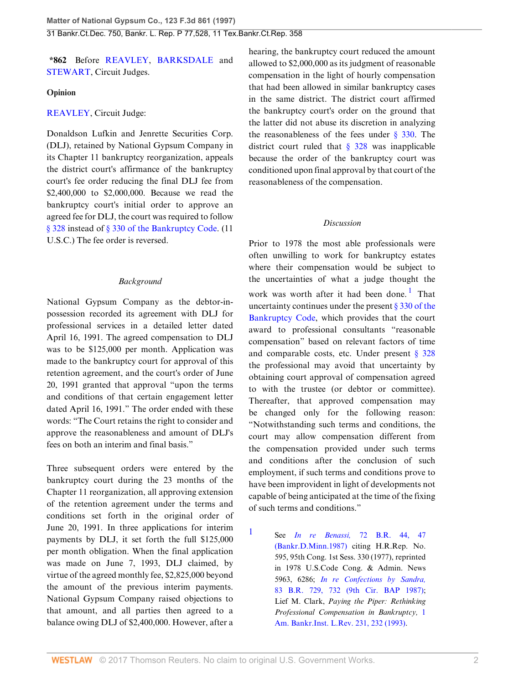**\*862** Before [REAVLEY](http://www.westlaw.com/Link/Document/FullText?findType=h&pubNum=176284&cite=0247561501&originatingDoc=I786224bb942c11d9a707f4371c9c34f0&refType=RQ&originationContext=document&vr=3.0&rs=cblt1.0&transitionType=DocumentItem&contextData=(sc.Search)), [BARKSDALE](http://www.westlaw.com/Link/Document/FullText?findType=h&pubNum=176284&cite=0194463701&originatingDoc=I786224bb942c11d9a707f4371c9c34f0&refType=RQ&originationContext=document&vr=3.0&rs=cblt1.0&transitionType=DocumentItem&contextData=(sc.Search)) and [STEWART,](http://www.westlaw.com/Link/Document/FullText?findType=h&pubNum=176284&cite=0182265801&originatingDoc=I786224bb942c11d9a707f4371c9c34f0&refType=RQ&originationContext=document&vr=3.0&rs=cblt1.0&transitionType=DocumentItem&contextData=(sc.Search)) Circuit Judges.

## **Opinion**

# [REAVLEY](http://www.westlaw.com/Link/Document/FullText?findType=h&pubNum=176284&cite=0247561501&originatingDoc=I786224bb942c11d9a707f4371c9c34f0&refType=RQ&originationContext=document&vr=3.0&rs=cblt1.0&transitionType=DocumentItem&contextData=(sc.Search)), Circuit Judge:

Donaldson Lufkin and Jenrette Securities Corp. (DLJ), retained by National Gypsum Company in its Chapter 11 bankruptcy reorganization, appeals the district court's affirmance of the bankruptcy court's fee order reducing the final DLJ fee from \$2,400,000 to \$2,000,000. Because we read the bankruptcy court's initial order to approve an agreed fee for DLJ, the court was required to follow [§ 328](http://www.westlaw.com/Link/Document/FullText?findType=L&pubNum=1000546&cite=11USCAS328&originatingDoc=I786224bb942c11d9a707f4371c9c34f0&refType=LQ&originationContext=document&vr=3.0&rs=cblt1.0&transitionType=DocumentItem&contextData=(sc.Search)) instead of [§ 330 of the Bankruptcy Code](http://www.westlaw.com/Link/Document/FullText?findType=L&pubNum=1000546&cite=11USCAS330&originatingDoc=I786224bb942c11d9a707f4371c9c34f0&refType=LQ&originationContext=document&vr=3.0&rs=cblt1.0&transitionType=DocumentItem&contextData=(sc.Search)). (11 U.S.C.) The fee order is reversed.

# *Background*

National Gypsum Company as the debtor-inpossession recorded its agreement with DLJ for professional services in a detailed letter dated April 16, 1991. The agreed compensation to DLJ was to be \$125,000 per month. Application was made to the bankruptcy court for approval of this retention agreement, and the court's order of June 20, 1991 granted that approval "upon the terms and conditions of that certain engagement letter dated April 16, 1991." The order ended with these words: "The Court retains the right to consider and approve the reasonableness and amount of DLJ's fees on both an interim and final basis."

Three subsequent orders were entered by the bankruptcy court during the 23 months of the Chapter 11 reorganization, all approving extension of the retention agreement under the terms and conditions set forth in the original order of June 20, 1991. In three applications for interim payments by DLJ, it set forth the full \$125,000 per month obligation. When the final application was made on June 7, 1993, DLJ claimed, by virtue of the agreed monthly fee, \$2,825,000 beyond the amount of the previous interim payments. National Gypsum Company raised objections to that amount, and all parties then agreed to a balance owing DLJ of \$2,400,000. However, after a hearing, the bankruptcy court reduced the amount allowed to \$2,000,000 as its judgment of reasonable compensation in the light of hourly compensation that had been allowed in similar bankruptcy cases in the same district. The district court affirmed the bankruptcy court's order on the ground that the latter did not abuse its discretion in analyzing the reasonableness of the fees under  $\frac{8}{330}$ . The district court ruled that  $\S$  328 was inapplicable because the order of the bankruptcy court was conditioned upon final approval by that court of the reasonableness of the compensation.

## <span id="page-1-1"></span>*Discussion*

Prior to 1978 the most able professionals were often unwilling to work for bankruptcy estates where their compensation would be subject to the uncertainties of what a judge thought the work was worth after it had been done.<sup>[1](#page-1-0)</sup> That uncertainty continues under the present [§ 330 of the](http://www.westlaw.com/Link/Document/FullText?findType=L&pubNum=1000546&cite=11USCAS330&originatingDoc=I786224bb942c11d9a707f4371c9c34f0&refType=LQ&originationContext=document&vr=3.0&rs=cblt1.0&transitionType=DocumentItem&contextData=(sc.Search)) [Bankruptcy Code](http://www.westlaw.com/Link/Document/FullText?findType=L&pubNum=1000546&cite=11USCAS330&originatingDoc=I786224bb942c11d9a707f4371c9c34f0&refType=LQ&originationContext=document&vr=3.0&rs=cblt1.0&transitionType=DocumentItem&contextData=(sc.Search)), which provides that the court award to professional consultants "reasonable compensation" based on relevant factors of time and comparable costs, etc. Under present  $\S$  328 the professional may avoid that uncertainty by obtaining court approval of compensation agreed to with the trustee (or debtor or committee). Thereafter, that approved compensation may be changed only for the following reason: "Notwithstanding such terms and conditions, the court may allow compensation different from the compensation provided under such terms and conditions after the conclusion of such employment, if such terms and conditions prove to have been improvident in light of developments not capable of being anticipated at the time of the fixing of such terms and conditions."

See *In re Benassi,* [72 B.R. 44, 47](http://www.westlaw.com/Link/Document/FullText?findType=Y&serNum=1987044208&pubNum=164&originatingDoc=I786224bb942c11d9a707f4371c9c34f0&refType=RP&fi=co_pp_sp_164_47&originationContext=document&vr=3.0&rs=cblt1.0&transitionType=DocumentItem&contextData=(sc.Search)#co_pp_sp_164_47) [\(Bankr.D.Minn.1987\)](http://www.westlaw.com/Link/Document/FullText?findType=Y&serNum=1987044208&pubNum=164&originatingDoc=I786224bb942c11d9a707f4371c9c34f0&refType=RP&fi=co_pp_sp_164_47&originationContext=document&vr=3.0&rs=cblt1.0&transitionType=DocumentItem&contextData=(sc.Search)#co_pp_sp_164_47) citing H.R.Rep. No. 595, 95th Cong. 1st Sess. 330 (1977), reprinted in 1978 U.S.Code Cong. & Admin. News 5963, 6286; *[In re Confections by Sandra,](http://www.westlaw.com/Link/Document/FullText?findType=Y&serNum=1988038740&pubNum=164&originatingDoc=I786224bb942c11d9a707f4371c9c34f0&refType=RP&fi=co_pp_sp_164_732&originationContext=document&vr=3.0&rs=cblt1.0&transitionType=DocumentItem&contextData=(sc.Search)#co_pp_sp_164_732)* [83 B.R. 729, 732 \(9th Cir. BAP 1987\);](http://www.westlaw.com/Link/Document/FullText?findType=Y&serNum=1988038740&pubNum=164&originatingDoc=I786224bb942c11d9a707f4371c9c34f0&refType=RP&fi=co_pp_sp_164_732&originationContext=document&vr=3.0&rs=cblt1.0&transitionType=DocumentItem&contextData=(sc.Search)#co_pp_sp_164_732) Lief M. Clark, *Paying the Piper: Rethinking Professional Compensation in Bankruptcy,* [1](http://www.westlaw.com/Link/Document/FullText?findType=Y&serNum=0103326404&pubNum=102040&originatingDoc=I786224bb942c11d9a707f4371c9c34f0&refType=LR&fi=co_pp_sp_102040_232&originationContext=document&vr=3.0&rs=cblt1.0&transitionType=DocumentItem&contextData=(sc.Search)#co_pp_sp_102040_232) [Am. Bankr.Inst. L.Rev. 231, 232 \(1993\)](http://www.westlaw.com/Link/Document/FullText?findType=Y&serNum=0103326404&pubNum=102040&originatingDoc=I786224bb942c11d9a707f4371c9c34f0&refType=LR&fi=co_pp_sp_102040_232&originationContext=document&vr=3.0&rs=cblt1.0&transitionType=DocumentItem&contextData=(sc.Search)#co_pp_sp_102040_232).

<span id="page-1-0"></span>[1](#page-1-1)